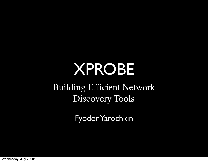# XPROBE

Building Efficient Network Discovery Tools

Fyodor Yarochkin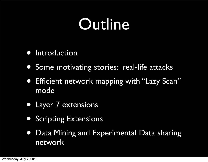### **Outline**

- **•** Introduction
- Some motivating stories: real-life attacks
- **Efficient network mapping with "Lazy Scan"** mode
- Layer 7 extensions
- **Scripting Extensions**
- Data Mining and Experimental Data sharing network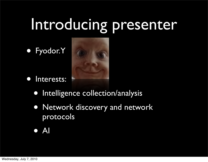### Introducing presenter

• Fyodor.Y



- Interests:
	- Intelligence collection/analysis
	- Network discovery and network protocols
	- AI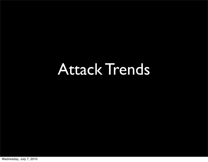### Attack Trends

Wednesday, July 7, 2010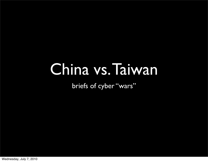### China vs. Taiwan

briefs of cyber "wars"

Wednesday, July 7, 2010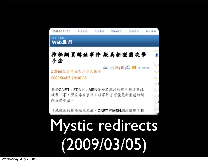

# Mystic redirects (2009/03/05)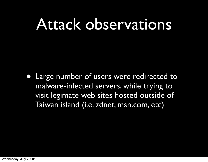#### Attack observations

• Large number of users were redirected to malware-infected servers, while trying to visit legimate web sites hosted outside of Taiwan island (i.e. zdnet, msn.com, etc)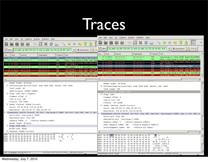### Traces

| Eile Edit View Go Capture Analyze Statistics Help                                                                                                                                   | File Edit View Go Capture Analyze Statistics Help |                                                                                                                                   |                              |                                                                                                              |                    |                                                                                                                       |  |  |
|-------------------------------------------------------------------------------------------------------------------------------------------------------------------------------------|---------------------------------------------------|-----------------------------------------------------------------------------------------------------------------------------------|------------------------------|--------------------------------------------------------------------------------------------------------------|--------------------|-----------------------------------------------------------------------------------------------------------------------|--|--|
| <b>RXC &amp; Q &amp; \$ Q 7 J</b>                                                                                                                                                   |                                                   |                                                                                                                                   |                              |                                                                                                              |                    | <b>因义忠昌 ( タキの不</b>                                                                                                    |  |  |
| V Eiter: (Lp. addr. eq. 202. 176. 217. 17 and Lp. addr. eq. 172. 16. 18. 65) and (1 = 4 = Expression  18)                                                                           |                                                   |                                                                                                                                   |                              |                                                                                                              |                    | N Eiter: (Lip. addr. eq. 202. 176. 217. 17 and Lp. addr. eq. 172. 16. 18. 65) and (1 ▼   Ф. Expression   - 3: 3:3:(C) |  |  |
| Time<br>Source:<br>Protocol<br>Info<br>No. -<br>Destination                                                                                                                         | No. Time                                          |                                                                                                                                   | Source                       | Destination                                                                                                  | Protocol           | Info                                                                                                                  |  |  |
| 80 12.000821 172.16.18.65<br>202,176,217,17<br>TOP.<br>ravp-encap-2 > http [STN] Seg=0 Mi                                                                                           |                                                   | 80 12,999821                                                                                                                      | 172, 16, 18, 65              | 202.176.217.17                                                                                               | TCP.               | rsvp-encap-2 > http [SYN] Seq=0 Min=65535                                                                             |  |  |
| 172.16.18.65<br>M 13.132590<br>200.176.217.17<br>TOP<br>http > rsvp-encap-2 [STN, ACK] Seq                                                                                          |                                                   |                                                                                                                                   | 81 15.132590 202.176.217.17  | 172.16.18.65                                                                                                 | TCP.               | http > rsvp-encap-2 [SYN, ACK] Segr0 Ackr1                                                                            |  |  |
| ravp-encap-2 > http [ACK] Seg=1 Ac<br>172.16.18.65<br>2021176-217.17<br>TOP<br>82 13, 132642                                                                                        |                                                   | 82 13.133642 172.16.18.65                                                                                                         | 172, 16, 18, 65              | 202.178.217.17<br>202.175.217.17                                                                             | TCP<br><b>HTTP</b> | ravp-encap 2 > http [ACK] Seq=1 Ack=1 Wire<br>GET / HTTP/1.1                                                          |  |  |
| HTTP<br>GET / HTTP/1.1<br><b>K3 13 3.5%</b><br>172.15.18.85<br><b>ALL AND REAL PROPERTY</b>                                                                                         |                                                   |                                                                                                                                   | 85 13.274220 202.176.217.17  | 172, 16, 18, 65                                                                                              | TCP                | [TCP segment of a reassembled PDU]                                                                                    |  |  |
| 172.16.18.65<br>TOP<br>[TCP segment of a reassembled PDU]<br>85 13,274220 202,176,217,17<br>NS 13.274270 172.16.18.65<br>202.178.217.17<br>TOP<br>rsvp-encap-2 > http [ACK] Seg=430 |                                                   | 86 13,274270 172, 16, 18, 65                                                                                                      |                              | 2002.176.217.17                                                                                              | TCP                | ravp encap-2 > http [ACK] Seq=430 Ack=186                                                                             |  |  |
| rsvp-encap-2 > http [RST, ACK] Seq<br>172.16.18.45<br>202.176.217.17<br>TOP                                                                                                         |                                                   | 87 13,276842 172,16,18,65                                                                                                         |                              | 202.176.217.17                                                                                               | TCP.               | rsvo-encap-2 > http [RST, ACK] Seg=430 Ac                                                                             |  |  |
| 88 13,310086 202.176.217.17<br>172, 15, 18, 65<br>TOP<br>http > rsvp-encap-2 [ACK] Seg=1 Ac                                                                                         |                                                   | 89 13, 311018 172, 16, 18, 65                                                                                                     | 88 15.310085 202.175.217.17  | 172.16.18.65<br>202.176.217.17                                                                               | TCP.<br>TCP        | http > rsvp-encap-2 [ACK] Segml Ackm430 Wi<br>rsvp-encap-2 > http [RST] Seq=430 Win=0 L                               |  |  |
| 202.176.217.17<br>TOP.<br>rsvp-encap-2 > http [RST] Seq=430<br>89 13.311018 172.56.18.65                                                                                            |                                                   |                                                                                                                                   |                              |                                                                                                              |                    |                                                                                                                       |  |  |
|                                                                                                                                                                                     |                                                   |                                                                                                                                   |                              |                                                                                                              |                    |                                                                                                                       |  |  |
| Header length: 20 bytes                                                                                                                                                             |                                                   |                                                                                                                                   | Header length: 20 bytes      |                                                                                                              |                    |                                                                                                                       |  |  |
| P. Differentiated Services Field: 0x00 (DSCP 0x00: Default; ECN: 0x00)                                                                                                              |                                                   |                                                                                                                                   |                              | D Differentiated Services Field: 0x00 (DSCP 0x00: Default; ECN: 0x00)                                        |                    |                                                                                                                       |  |  |
| Total Length: 48                                                                                                                                                                    |                                                   | Total Length: 224                                                                                                                 |                              |                                                                                                              |                    |                                                                                                                       |  |  |
| Identification: 0x8d6e (36206)                                                                                                                                                      |                                                   |                                                                                                                                   | Identification: 0x0100 (256) |                                                                                                              |                    |                                                                                                                       |  |  |
| P Flags: 0x04 (Don't Fragment)                                                                                                                                                      |                                                   | $P$ Flags: $0x00$                                                                                                                 |                              |                                                                                                              |                    |                                                                                                                       |  |  |
| Fragment offset: 0                                                                                                                                                                  |                                                   | Fragment offset: 0                                                                                                                |                              |                                                                                                              |                    |                                                                                                                       |  |  |
| Time to live: 128                                                                                                                                                                   |                                                   | Time to live: 112                                                                                                                 |                              |                                                                                                              |                    |                                                                                                                       |  |  |
| Protocol: TCP (0x06)                                                                                                                                                                | Protocol: TCP (0x06)                              |                                                                                                                                   |                              |                                                                                                              |                    |                                                                                                                       |  |  |
| P Header checksum: 0x0b46 [correct]                                                                                                                                                 |                                                   | D Header checksum: 0xe704 [correct]                                                                                               |                              |                                                                                                              |                    |                                                                                                                       |  |  |
| Source: 172.16.18.65 (172.16.18.65)                                                                                                                                                 |                                                   | Source: 202.176.217.17 (202.176.217.17)                                                                                           |                              |                                                                                                              |                    |                                                                                                                       |  |  |
| Destination: 202.176.217.17 (202.176.217.17)                                                                                                                                        |                                                   | Destination: 172.16.18.65 (172.16.18.65)                                                                                          |                              |                                                                                                              |                    |                                                                                                                       |  |  |
| Transmission Control Protocol, Src Port: rsvp-encap-2 (1699), Dst Port: http (80), Seq: 0, Len:                                                                                     |                                                   |                                                                                                                                   |                              |                                                                                                              |                    |                                                                                                                       |  |  |
| Source port: rsvp-encap-2 (1699)                                                                                                                                                    |                                                   | Transmission Control Protocol, Src Port: http (80), Dst Port: rsvp-encap-2 (1699), Seq: 1, Ack: 430, Le<br>Source port: http (80) |                              |                                                                                                              |                    |                                                                                                                       |  |  |
| Destination port: http (80)                                                                                                                                                         |                                                   | Destination port: rsvp-encap-2 (1699)                                                                                             |                              |                                                                                                              |                    |                                                                                                                       |  |  |
| Sequence number: 0 (relative sequence number)                                                                                                                                       |                                                   | Sequence number: 1 (relative sequence number)                                                                                     |                              |                                                                                                              |                    |                                                                                                                       |  |  |
| Header length: 28 bytes                                                                                                                                                             |                                                   | (relative sequence number)]<br>[Next sequence number: 185                                                                         |                              |                                                                                                              |                    |                                                                                                                       |  |  |
| P Flags: 0x02 (SYN)                                                                                                                                                                 |                                                   | (relative ack number)<br>Acknowledgement number: 430                                                                              |                              |                                                                                                              |                    |                                                                                                                       |  |  |
| Window size: 65535                                                                                                                                                                  |                                                   | .                                                                                                                                 |                              |                                                                                                              |                    |                                                                                                                       |  |  |
| D Checksum: 0x2325 [correct]<br>                                                                                                                                                    |                                                   |                                                                                                                                   |                              |                                                                                                              |                    |                                                                                                                       |  |  |
| 00 la e2 83 65 41 00 13 d4 d4 15 a2 08 00 45 00<br><b>aA</b> E.<br>0010 00 30 8d 6e 40 00 80 06 0b 46 ac 10 12 41 ca b0<br>$0.001$ $F$ $A$ .                                        |                                                   |                                                                                                                                   |                              | 0010 00 e0 01 00 00 00 70 06 e7 04 ca b0 d9 11 ac 10                                                         |                    | $P_1$ . $P_2$                                                                                                         |  |  |
| 0020 d9 11 06 a3 00 50 3b d6 bb 1d 00 00 00 00 70 02<br>$, \ldots, P, \ldots, P, P$                                                                                                 | 0030                                              |                                                                                                                                   |                              | 0020 12 41 00 50 06 a3 5c 0c df 01 3b d6 bc cb 50 11<br>0a 1f ff 67 00 00 48 54 54 50 2f 31 2e 31 20 32      |                    | A, P, , V, , V                                                                                                        |  |  |
| 0030 ff ff 23 25 00 00 02 04 05 b4 01 01 04 02                                                                                                                                      |                                                   |                                                                                                                                   |                              | 0040 30 30 20 4f 4b 0d 0a 53 65 72 76 65 72 3a 20 4d                                                         |                    | $q$ . HT TP/1.1 2<br>00 OK., S erver: N                                                                               |  |  |
|                                                                                                                                                                                     |                                                   |                                                                                                                                   |                              | 0050 69 63 72 6f 73 6f 66 74 2d 49 49 53 2f 36 2e 30                                                         |                    | icrosoft -IIS/6.0                                                                                                     |  |  |
|                                                                                                                                                                                     | 0060                                              |                                                                                                                                   |                              | 0d 0a 43 6f 6e 74 65 6e 74 2d 54 79 70 65 3a 20                                                              |                    | Conten t-Type:                                                                                                        |  |  |
|                                                                                                                                                                                     |                                                   |                                                                                                                                   |                              | 0070 74 65 78 74 2f 68 74 6d 6c 0d 0a 0d 0a 3c 68 74<br>0080 6d 6c 3e 0d 0a 3c 62 6f 64 79 3e 0d 0a 3c 6d 65 |                    | text/htm l <ht<br>al&gt;. <br/> dy&gt;<me< td=""><td></td><td></td></me<></ht<br>                                     |  |  |
| Duboke 1517 Direburgh B.H., Deally Daluk<br>File: "/root/bbbb" 544 KB pn-n1-1a.                                                                                                     |                                                   |                                                                                                                                   |                              |                                                                                                              |                    | Declare 1817 Minds and Q.M. James Males                                                                               |  |  |
|                                                                                                                                                                                     |                                                   | Identification (ip.id), 2 byter-                                                                                                  |                              |                                                                                                              |                    |                                                                                                                       |  |  |

Wednesday, July 7, 2010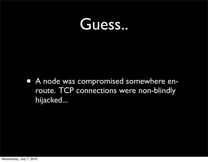#### Guess..

• A node was compromised somewhere enroute. TCP connections were non-blindly hijacked...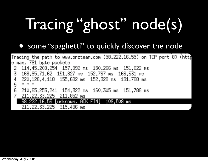# Tracing "ghost" node(s)

#### • some "spaghetti" to quickly discover the node

| Tracing the path to www.orzteam.com (58.222.16.55) on TCP port 80 (http |
|-------------------------------------------------------------------------|
| s max, 791 byte packets                                                 |
| 2 114.45.208.254 157.892 ms 150.266 ms 151.822 ms                       |
| 3 168.95.71.62 151.827 ms 152.767 ms 166.531 ms                         |
| 4 220.128.4.118 155.682 ms 152.328 ms 151.788 ms                        |
| 5 * * *                                                                 |
| 6 210.65.255.241 154.322 ms 160.305 ms 151.788 ms                       |
| 7 211,22,33,225 211,852 ms                                              |
| 58.222.16.55 [unknown, ACK FIN] 109.508 ms                              |
| 211.22.33.225 315.486 ms                                                |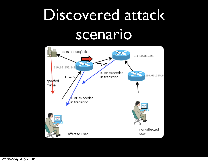# Discovered attack scenario

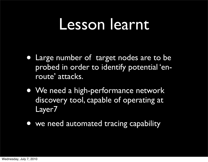#### Lesson learnt

- Large number of target nodes are to be probed in order to identify potential 'enroute' attacks.
- We need a high-performance network discovery tool, capable of operating at Layer7
- we need automated tracing capability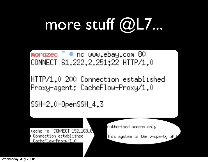# more stuff @L7...

morozec  $\tilde{=}$  # nc www.ebay.com 80 CONNECT 61,222,2,251:22 HTTP/1.0

HTTP/1.0 200 Connection established Proxy-agent: CacheFlow-Proxy/1.0

SSH-2.0-0penSSH\_4.3

(echo −e "CONNECT 192,168,8") Connection established CacheFlow-Proxy/1.0

Authorised access only

This system is the property of

Wednesday, July 7, 2010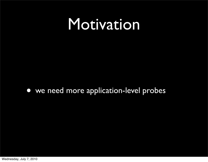#### Motivation

• we need more application-level probes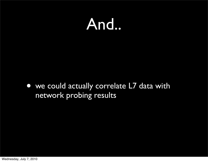#### And..

• we could actually correlate L7 data with network probing results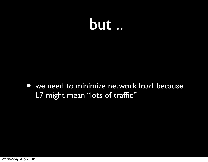

• we need to minimize network load, because L7 might mean "lots of traffic"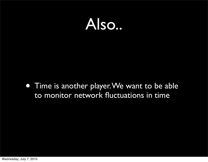

• Time is another player. We want to be able to monitor network fluctuations in time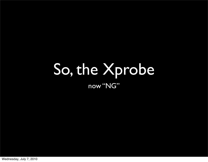#### So, the Xprobe now "NG"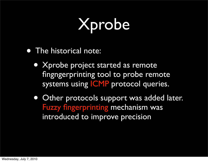# Xprobe

- The historical note:
	- Xprobe project started as remote fingngerprinting tool to probe remote systems using **ICMP** protocol queries.
	- Other protocols support was added later. Fuzzy fingerprinting mechanism was introduced to improve precision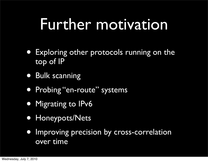### Further motivation

- Exploring other protocols running on the top of IP
- Bulk scanning
- Probing "en-route" systems
- Migrating to IPv6
- Honeypots/Nets
- Improving precision by cross-correlation over time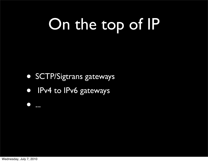# On the top of IP

- SCTP/Sigtrans gateways
- IPv4 to IPv6 gateways

• ...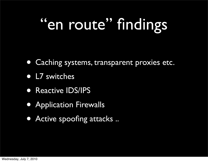# "en route" findings

- Caching systems, transparent proxies etc.
- L7 switches
- Reactive IDS/IPS
- Application Firewalls
- Active spoofing attacks ..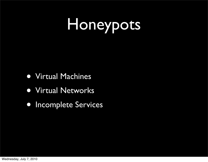# Honeypots

- Virtual Machines
- Virtual Networks
- Incomplete Services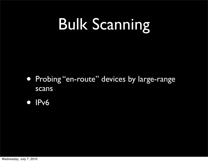# Bulk Scanning

- Probing "en-route" devices by large-range scans
- **IPv6**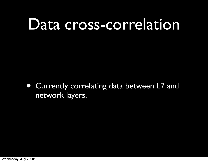### Data cross-correlation

• Currently correlating data between L7 and network layers.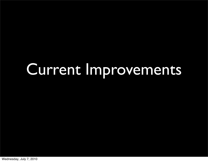# Current Improvements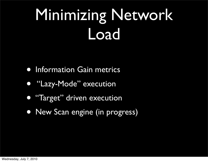# Minimizing Network Load

- Information Gain metrics
- "Lazy-Mode" execution
- "Target" driven execution
- New Scan engine (in progress)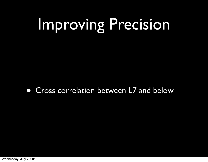# Improving Precision

• Cross correlation between L7 and below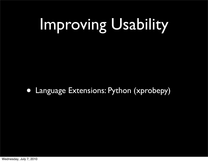# Improving Usability

• Language Extensions: Python (xprobepy)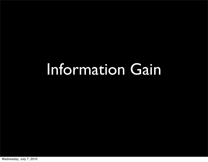#### Information Gain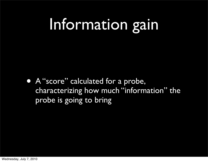### Information gain

• A "score" calculated for a probe, characterizing how much "information" the probe is going to bring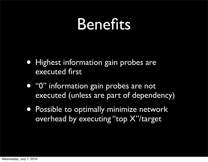#### Benefits

- Highest information gain probes are executed first
- "0" information gain probes are not executed (unless are part of dependency)
- Possible to optimally minimize network overhead by executing "top X"/target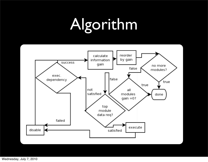# Algorithm



Wednesday, July 7, 2010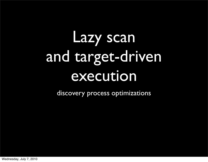# Lazy scan and target-driven execution

discovery process optimizations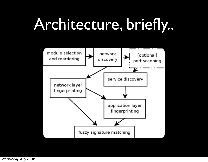## Architecture, briefly..



Wednesday, July 7, 2010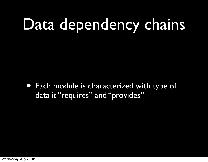# Data dependency chains

• Each module is characterized with type of data it "requires" and "provides"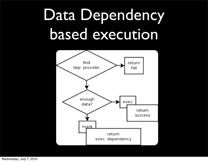# Data Dependency based execution



Wednesday, July 7, 2010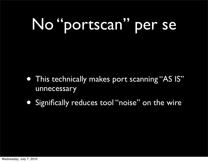# No "portscan" per se

- This technically makes port scanning "AS IS" unnecessary
- Significally reduces tool "noise" on the wire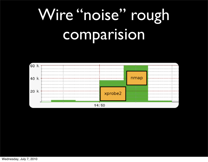# Wire "noise" rough comparision

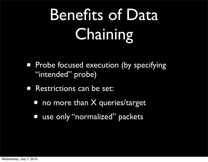# Benefits of Data **Chaining**

- Probe focused execution (by specifying "intended" probe)
- Restrictions can be set:
	- no more than X queries/target
	- use only "normalized" packets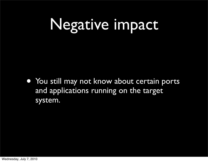# Negative impact

• You still may not know about certain ports and applications running on the target system.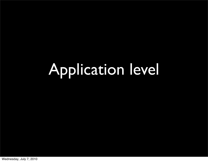# Application level

Wednesday, July 7, 2010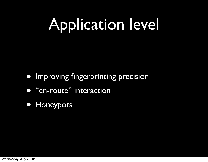# Application level

- Improving fingerprinting precision
- "en-route" interaction
- Honeypots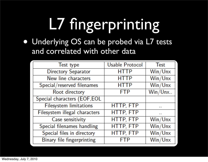# L7 fingerprinting

• Underlying OS can be probed via L7 tests and correlated with other data

| Test type                     | <b>Usable Protocol</b> | <b>Test</b> |  |
|-------------------------------|------------------------|-------------|--|
| <b>Directory Separator</b>    | <b>HTTP</b>            | Win/Unx     |  |
| New line characters           | <b>HTTP</b>            | Win/Unx     |  |
| Special/reserved filenames    | <b>HTTP</b>            | Win/Unx     |  |
| Root directory                | <b>FTP</b>             | Win/Unx     |  |
| Special characters (EOF, EOL  |                        |             |  |
| <b>Filesystem limitations</b> | <b>HTTP, FTP</b>       |             |  |
| Filesystem illegal characters | <b>HTTP, FTP</b>       | . .         |  |
| Case sensitivity              | <b>HTTP, FTP</b>       | Win/Unx     |  |
| Special filenames handling    | HTTP, FTP              | Win/Unx     |  |
| Special files in directory    | HTTP, FTP              | Win/Unx     |  |
| Binary file fingerprinting    | <b>FTP</b>             | Win/Unx     |  |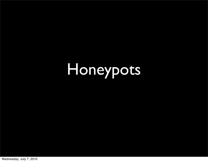# Honeypots

Wednesday, July 7, 2010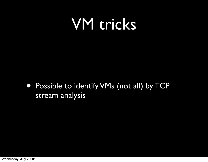#### VM tricks

#### • Possible to identify VMs (not all) by TCP stream analysis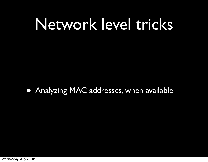### Network level tricks

• Analyzing MAC addresses, when available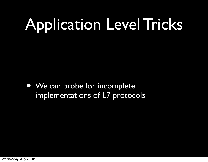# Application Level Tricks

• We can probe for incomplete implementations of L7 protocols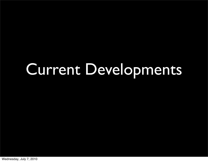### Current Developments

Wednesday, July 7, 2010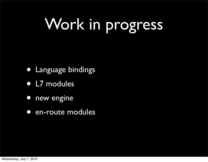# Work in progress

- Language bindings
- L7 modules
- new engine
- en-route modules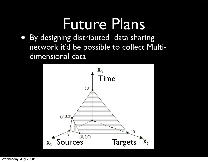### Future Plans

• By designing distributed data sharing network it'd be possible to collect Multidimensional data

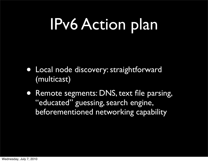### IPv6 Action plan

- Local node discovery: straightforward (multicast)
- Remote segments: DNS, text file parsing, "educated" guessing, search engine, beforementioned networking capability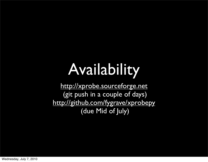# Availability

<http://xprobe.sourceforge.net> (git push in a couple of days) <http://github.com/fygrave/xprobepy> (due Mid of July)